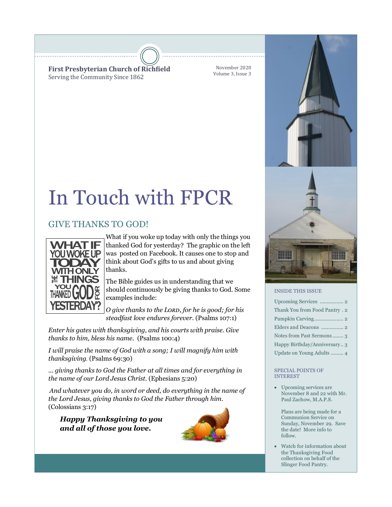**First Presbyterian Church of Richfield** Serving the Community Since 1862

November 2020 Volume 3, Issue 3

# In Touch with FPCR

### GIVE THANKS TO GOD!



What if you woke up today with only the things you thanked God for yesterday? The graphic on the left was posted on Facebook. It causes one to stop and think about God's gifts to us and about giving thanks.

The Bible guides us in understanding that we should continuously be giving thanks to God. Some examples include:

*O give thanks to the Lord, for he is good; for his steadfast love endures forever.* (Psalms 107:1)

*Enter his gates with thanksgiving, and his courts with praise. Give thanks to him, bless his name.* (Psalms 100:4)

*I will praise the name of God with a song; I will magnify him with thanksgiving.* (Psalms 69:30)

*... giving thanks to God the Father at all times and for everything in the name of our Lord Jesus Christ.* (Ephesians 5:20)

*And whatever you do, in word or deed, do everything in the name of the Lord Jesus, giving thanks to God the Father through him.*  (Colossians 3:17)

*Happy Thanksgiving to you and all of those you love.*





#### INSIDE THIS ISSUE

| Thank You from Food Pantry . 2 |
|--------------------------------|
|                                |
|                                |
| Notes from Past Sermons3       |
| Happy Birthday/Anniversary3    |
| Update on Young Adults  4      |

#### SPECIAL POINTS OF INTEREST

• Upcoming services are November 8 and 22 with Mr. Paul Zachow, M.A.P.S.

Plans are being made for a Communion Service on Sunday, November 29. Save the date! More info to follow.

• Watch for information about the Thanksgiving Food collection on behalf of the Slinger Food Pantry.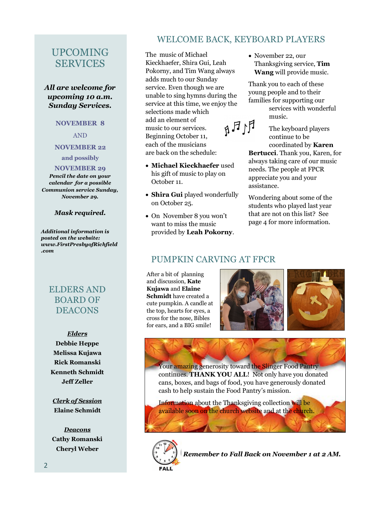### UPCOMING SERVICES

### *All are welcome for upcoming 10 a.m. Sunday Services.*

#### **NOVEMBER 8**

AND

### **NOVEMBER 22**

#### **and possibly**

**NOVEMBER 29** 

*Pencil the date on your calendar for a possible Communion service Sunday, November 29.*

#### *Mask required.*

*Additional information is posted on the website: www.FirstPresbyofRichfield .com*

### ELDERS AND BOARD OF **DEACONS**

#### *Elders*

**Debbie Heppe Melissa Kujawa Rick Romanski Kenneth Schmidt Jeff Zeller** 

*Clerk of Session* **Elaine Schmidt**

*Deacons* **Cathy Romanski Cheryl Weber**

### WELCOME BACK, KEYBOARD PLAYERS

The music of Michael Kieckhaefer, Shira Gui, Leah Pokorny, and Tim Wang always adds much to our Sunday service. Even though we are unable to sing hymns during the service at this time, we enjoy the selections made which add an element of  $R_1F_4$ music to our services. Beginning October 11, each of the musicians are back on the schedule:

- **Michael Kieckhaefer** used his gift of music to play on October 11.
- **Shira Gui** played wonderfully on October 25.
- On November 8 you won't want to miss the music provided by **Leah Pokorny**.

• November 22, our Thanksgiving service, **Tim Wang** will provide music.

Thank you to each of these young people and to their families for supporting our

services with wonderful music.

The keyboard players continue to be coordinated by **Karen** 

**Bertucci**. Thank you, Karen, for always taking care of our music needs. The people at FPCR appreciate you and your assistance.

Wondering about some of the students who played last year that are not on this list? See page 4 for more information.

### PUMPKIN CARVING AT FPCR

After a bit of planning and discussion, **Kate Kujawa** and **Elaine Schmidt** have created a cute pumpkin. A candle at the top, hearts for eyes, a cross for the nose, Bibles for ears, and a BIG smile!



Your amazing generosity toward the Slinger Food Pantry continues. **THANK YOU ALL**! Not only have you donated cans, boxes, and bags of food, you have generously donated cash to help sustain the Food Pantry's mission.

Information about the Thanksgiving collection will be available soon on the church website and at the church.



*Remember to Fall Back on November 1 at 2 AM.*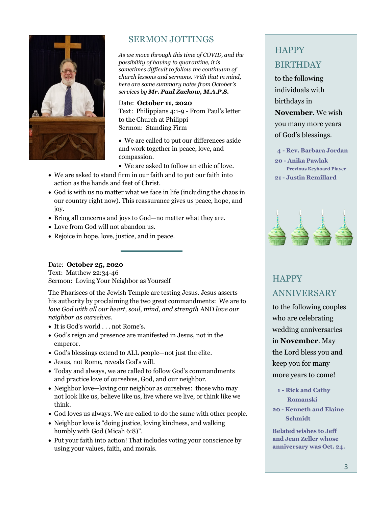

### SERMON JOTTINGS

*As we move through this time of COVID, and the possibility of having to quarantine, it is sometimes difficult to follow the continuum of church lessons and sermons. With that in mind, here are some summary notes from October's services by Mr. Paul Zachow, M.A.P.S.*

Date: **October 11, 2020** Text: Philippians 4:1-9 - From Paul's letter to the Church at Philippi Sermon: Standing Firm

• We are called to put our differences aside and work together in peace, love, and compassion.

- We are asked to follow an ethic of love.
- We are asked to stand firm in our faith and to put our faith into action as the hands and feet of Christ.
- God is with us no matter what we face in life (including the chaos in our country right now). This reassurance gives us peace, hope, and joy.
- Bring all concerns and joys to God—no matter what they are.
- Love from God will not abandon us.
- Rejoice in hope, love, justice, and in peace.

### Date: **October 25, 2020**

Text: Matthew 22:34-46 Sermon: Loving Your Neighbor as Yourself

The Pharisees of the Jewish Temple are testing Jesus. Jesus asserts his authority by proclaiming the two great commandments: We are to *love God with all our heart, soul, mind, and strength* AND *love our neighbor as ourselves*.

- It is God's world . . . not Rome's.
- God's reign and presence are manifested in Jesus, not in the emperor.
- God's blessings extend to ALL people—not just the elite.
- Jesus, not Rome, reveals God's will.
- Today and always, we are called to follow God's commandments and practice love of ourselves, God, and our neighbor.
- Neighbor love—loving our neighbor as ourselves: those who may not look like us, believe like us, live where we live, or think like we think.
- God loves us always. We are called to do the same with other people.
- Neighbor love is "doing justice, loving kindness, and walking humbly with God (Micah 6:8)".
- Put your faith into action! That includes voting your conscience by using your values, faith, and morals.

## **HAPPY** BIRTHDAY

to the following individuals with birthdays in

**November**. We wish you many more years

of God's blessings.

- **4 - Rev. Barbara Jordan**
- **20 - Anika Pawlak Previous Keyboard Player 21 - Justin Remillard**



# **HAPPY** ANNIVERSARY

to the following couples who are celebrating wedding anniversaries in **November**. May the Lord bless you and keep you for many more years to come!

- **1 - Rick and Cathy Romanski**
- **20 - Kenneth and Elaine Schmidt**

**Belated wishes to Jeff and Jean Zeller whose anniversary was Oct. 24.**